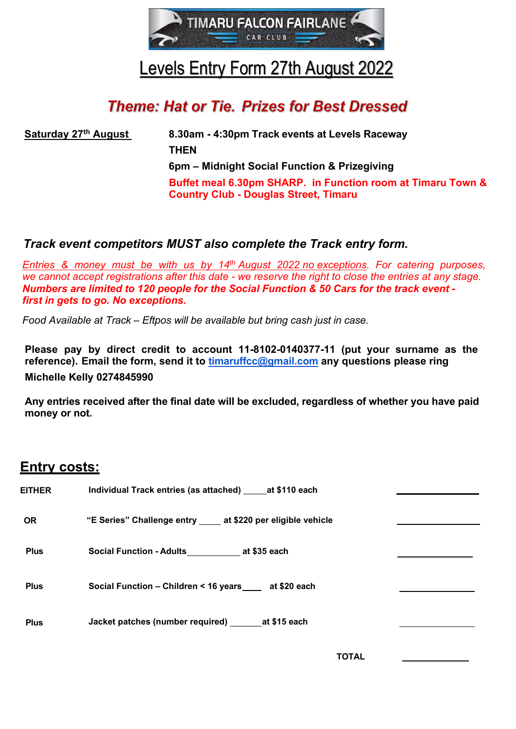

## Levels Entry Form 27th August 2022

## **Theme: Hat or Tie. Prizes for Best Dressed**

**Saturday 27th August 8.30am - 4:30pm Track events at Levels Raceway THEN 6pm – Midnight Social Function & Prizegiving Buffet meal 6.30pm SHARP. in Function room at Timaru Town & Country Club - Douglas Street, Timaru**

## *Track event competitors MUST also complete the Track entry form.*

*Entries & money must be with us by 14th August 2022 no exceptions. For catering purposes, we cannot accept registrations after this date - we reserve the right to close the entries at any stage. Numbers are limited to 120 people for the Social Function & 50 Cars for the track event first in gets to go. No exceptions.* 

*Food Available at Track – Eftpos will be available but bring cash just in case.*

**Please pay by direct credit to account 11-8102-0140377-11 (put your surname as the reference). Email the form, send it to [timaruffcc@gmail.com](mailto:timaruffcc@gmail.com) any questions please ring Michelle Kelly 0274845990**

**Any entries received after the final date will be excluded, regardless of whether you have paid money or not.**

## **Entry costs:**

| <b>EITHER</b> | Individual Track entries (as attached) ______ at \$110 each   |  |
|---------------|---------------------------------------------------------------|--|
| <b>OR</b>     | "E Series" Challenge entry ____ at \$220 per eligible vehicle |  |
| <b>Plus</b>   | Social Function - Adults at \$35 each                         |  |
| <b>Plus</b>   | Social Function - Children < 16 years ____ at \$20 each       |  |
| <b>Plus</b>   | Jacket patches (number required) _________ at \$15 each       |  |
|               |                                                               |  |

**TOTAL**